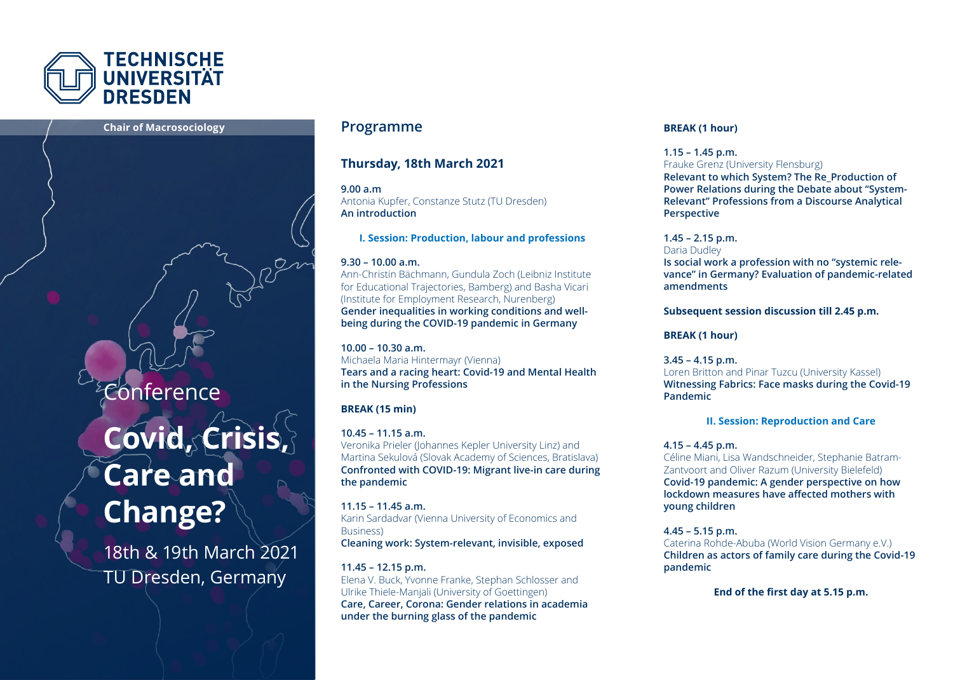

#### **Chair of Macrosociology Programme**

## Conference

# **Covid, Crisis, Care and Change?**

18th & 19th March 2021 TU Dresden, Germany

#### **Thursday, 18th March 2021**

**9.00 a.m**  Antonia Kupfer, Constanze Stutz (TU Dresden) **An introduction**

**I. Session: Production, labour and professions** 

#### **9.30 – 10.00 a.m.**

Ann-Christin Bächmann, Gundula Zoch (Leibniz Institute for Educational Trajectories, Bamberg) and Basha Vicari (Institute for Employment Research, Nurenberg) **Gender inequalities in working conditions and wellbeing during the COVID-19 pandemic in Germany** 

**10.00 – 10.30 a.m.** Michaela Maria Hintermayr (Vienna) **Tears and a racing heart: Covid-19 and Mental Health in the Nursing Professions**

#### **BREAK (15 min)**

**10.45 – 11.15 a.m.** Veronika Prieler (Johannes Kepler University Linz) and Martina Sekulová (Slovak Academy of Sciences, Bratislava) **Confronted with COVID-19: Migrant live-in care during the pandemic** 

**11.15 – 11.45 a.m.** Karin Sardadvar (Vienna University of Economics and Business) **Cleaning work: System-relevant, invisible, exposed** 

**11.45 – 12.15 p.m.** Elena V. Buck, Yvonne Franke, Stephan Schlosser and Ulrike Thiele-Manjali (University of Goettingen) **Care, Career, Corona: Gender relations in academia under the burning glass of the pandemic** 

#### **BREAK (1 hour)**

**1.15 – 1.45 p.m.**

Frauke Grenz (University Flensburg) **Relevant to which System? The Re\_Production of Power Relations during the Debate about "System-Relevant" Professions from a Discourse Analytical Perspective** 

**1.45 – 2.15 p.m.** Daria Dudley

**Is social work a profession with no "systemic relevance" in Germany? Evaluation of pandemic-related amendments** 

**Subsequent session discussion till 2.45 p.m.**

**BREAK (1 hour)**

**3.45 – 4.15 p.m.**  Loren Britton and Pinar Tuzcu (University Kassel) **Witnessing Fabrics: Face masks during the Covid-19 Pandemic** 

#### **II. Session: Reproduction and Care**

#### **4.15 – 4.45 p.m.**

Céline Miani, Lisa Wandschneider, Stephanie Batram-Zantvoort and Oliver Razum (University Bielefeld) **Covid-19 pandemic: A gender perspective on how lockdown measures have affected mothers with young children** 

**4.45 – 5.15 p.m.**

Caterina Rohde-Abuba (World Vision Germany e.V.) **Children as actors of family care during the Covid-19 pandemic** 

**End of the first day at 5.15 p.m.**